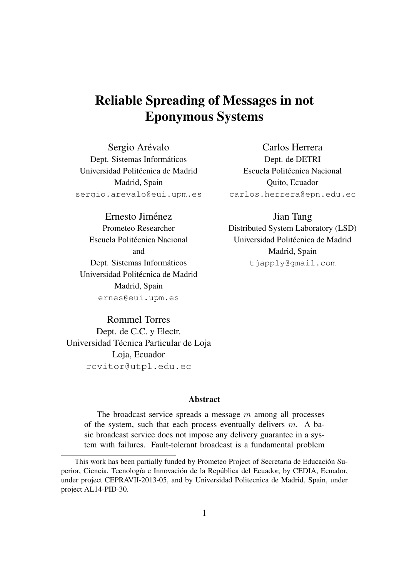# Reliable Spreading of Messages in not Eponymous Systems

Sergio Arévalo Carlos Herrera Dept. Sistemas Informáticos Dept. de DETRI Universidad Politécnica de Madrid **Escuela Politécnica Nacional** sergio.arevalo@eui.upm.es carlos.herrera@epn.edu.ec

Ernesto Jimenez Jian Tang ´ Universidad Politécnica de Madrid Madrid, Spain ernes@eui.upm.es

Madrid, Spain Quito, Ecuador

Prometeo Researcher Distributed System Laboratory (LSD) Escuela Politécnica Nacional **Universidad Politécnica de Madrid** and Madrid, Spain Dept. Sistemas Informáticos tiapply@gmail.com

Rommel Torres Dept. de C.C. y Electr. Universidad Técnica Particular de Loja Loja, Ecuador rovitor@utpl.edu.ec

#### Abstract

The broadcast service spreads a message  $m$  among all processes of the system, such that each process eventually delivers  $m$ . A basic broadcast service does not impose any delivery guarantee in a system with failures. Fault-tolerant broadcast is a fundamental problem

This work has been partially funded by Prometeo Project of Secretaria de Educacion Su- ´ perior, Ciencia, Tecnología e Innovación de la República del Ecuador, by CEDIA, Ecuador, under project CEPRAVII-2013-05, and by Universidad Politecnica de Madrid, Spain, under project AL14-PID-30.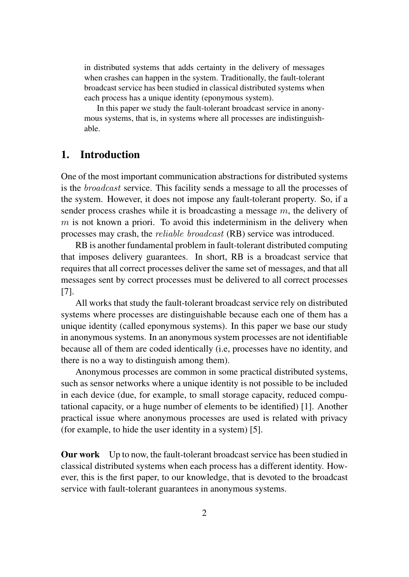in distributed systems that adds certainty in the delivery of messages when crashes can happen in the system. Traditionally, the fault-tolerant broadcast service has been studied in classical distributed systems when each process has a unique identity (eponymous system).

In this paper we study the fault-tolerant broadcast service in anonymous systems, that is, in systems where all processes are indistinguishable.

## 1. Introduction

One of the most important communication abstractions for distributed systems is the *broadcast* service. This facility sends a message to all the processes of the system. However, it does not impose any fault-tolerant property. So, if a sender process crashes while it is broadcasting a message  $m$ , the delivery of  $m$  is not known a priori. To avoid this indeterminism in the delivery when processes may crash, the reliable broadcast (RB) service was introduced.

RB is another fundamental problem in fault-tolerant distributed computing that imposes delivery guarantees. In short, RB is a broadcast service that requires that all correct processes deliver the same set of messages, and that all messages sent by correct processes must be delivered to all correct processes [7].

All works that study the fault-tolerant broadcast service rely on distributed systems where processes are distinguishable because each one of them has a unique identity (called eponymous systems). In this paper we base our study in anonymous systems. In an anonymous system processes are not identifiable because all of them are coded identically (i.e, processes have no identity, and there is no a way to distinguish among them).

Anonymous processes are common in some practical distributed systems, such as sensor networks where a unique identity is not possible to be included in each device (due, for example, to small storage capacity, reduced computational capacity, or a huge number of elements to be identified) [1]. Another practical issue where anonymous processes are used is related with privacy (for example, to hide the user identity in a system) [5].

Our work Up to now, the fault-tolerant broadcast service has been studied in classical distributed systems when each process has a different identity. However, this is the first paper, to our knowledge, that is devoted to the broadcast service with fault-tolerant guarantees in anonymous systems.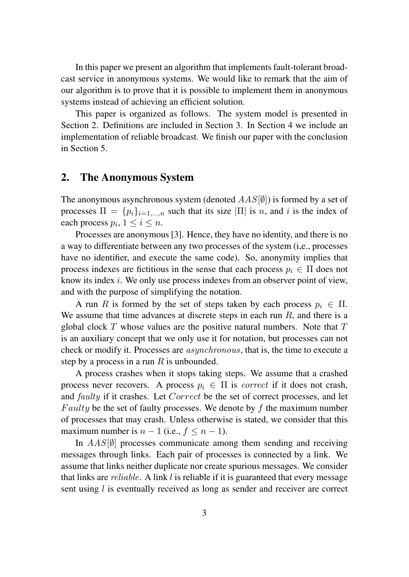In this paper we present an algorithm that implements fault-tolerant broadcast service in anonymous systems. We would like to remark that the aim of our algorithm is to prove that it is possible to implement them in anonymous systems instead of achieving an efficient solution.

This paper is organized as follows. The system model is presented in Section 2. Definitions are included in Section 3. In Section 4 we include an implementation of reliable broadcast. We finish our paper with the conclusion in Section 5.

## 2. The Anonymous System

The anonymous asynchronous system (denoted  $AAS[\emptyset]$ ) is formed by a set of processes  $\Pi = \{p_i\}_{i=1,\dots,n}$  such that its size  $|\Pi|$  is *n*, and *i* is the index of each process  $p_i$ ,  $1 \leq i \leq n$ .

Processes are anonymous [3]. Hence, they have no identity, and there is no a way to differentiate between any two processes of the system (i,e., processes have no identifier, and execute the same code). So, anonymity implies that process indexes are fictitious in the sense that each process  $p_i \in \Pi$  does not know its index i. We only use process indexes from an observer point of view, and with the purpose of simplifying the notation.

A run R is formed by the set of steps taken by each process  $p_i \in \Pi$ . We assume that time advances at discrete steps in each run  $R$ , and there is a global clock  $T$  whose values are the positive natural numbers. Note that  $T$ is an auxiliary concept that we only use it for notation, but processes can not check or modify it. Processes are asynchronous, that is, the time to execute a step by a process in a run  $R$  is unbounded.

A process crashes when it stops taking steps. We assume that a crashed process never recovers. A process  $p_i \in \Pi$  is *correct* if it does not crash, and *faulty* if it crashes. Let *Correct* be the set of correct processes, and let Faulty be the set of faulty processes. We denote by  $f$  the maximum number of processes that may crash. Unless otherwise is stated, we consider that this maximum number is  $n-1$  (i.e.,  $f \leq n-1$ ).

In  $AAS[\emptyset]$  processes communicate among them sending and receiving messages through links. Each pair of processes is connected by a link. We assume that links neither duplicate nor create spurious messages. We consider that links are  $reliable$ . A link  $l$  is reliable if it is guaranteed that every message sent using *l* is eventually received as long as sender and receiver are correct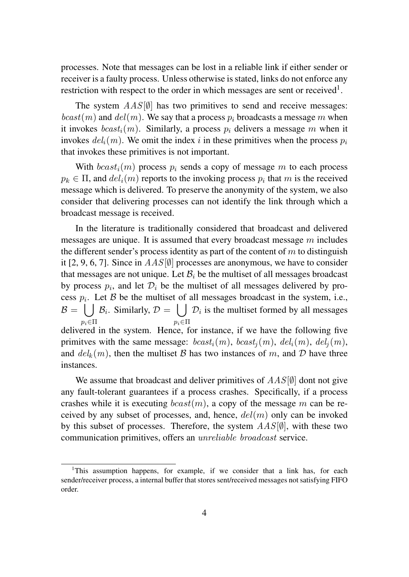processes. Note that messages can be lost in a reliable link if either sender or receiver is a faulty process. Unless otherwise is stated, links do not enforce any restriction with respect to the order in which messages are sent or received<sup>1</sup>.

The system  $AAS[\emptyset]$  has two primitives to send and receive messages: bcast(m) and del(m). We say that a process p<sup>i</sup> broadcasts a message m when it invokes  $\text{icast}_i(m)$ . Similarly, a process  $p_i$  delivers a message m when it invokes  $del_i(m)$ . We omit the index i in these primitives when the process  $p_i$ that invokes these primitives is not important.

With  $bcast<sub>i</sub>(m)$  process  $p<sub>i</sub>$  sends a copy of message m to each process  $p_k \in \Pi$ , and  $del_i(m)$  reports to the invoking process  $p_i$  that m is the received message which is delivered. To preserve the anonymity of the system, we also consider that delivering processes can not identify the link through which a broadcast message is received.

In the literature is traditionally considered that broadcast and delivered messages are unique. It is assumed that every broadcast message  $m$  includes the different sender's process identity as part of the content of  $m$  to distinguish it [2, 9, 6, 7]. Since in  $AAS[\emptyset]$  processes are anonymous, we have to consider that messages are not unique. Let  $B_i$  be the multiset of all messages broadcast by process  $p_i$ , and let  $\mathcal{D}_i$  be the multiset of all messages delivered by process  $p_i$ . Let  $\beta$  be the multiset of all messages broadcast in the system, i.e.,  $\mathcal{B} = \left[ \begin{array}{ccc} \end{array} \right] \mathcal{B}_i$ . Similarly,  $\mathcal{D} = \left[ \begin{array}{ccc} \end{array} \right] \mathcal{D}_i$  is the multiset formed by all messages  $p_i \in \Pi$  $p_i \in \Pi$ delivered in the system. Hence, for instance, if we have the following five primitves with the same message:  $bcast_i(m)$ ,  $bcast_i(m)$ ,  $del_i(m)$ ,  $del_i(m)$ , and  $del_k(m)$ , then the multiset B has two instances of m, and D have three instances.

We assume that broadcast and deliver primitives of  $AAS[\emptyset]$  dont not give any fault-tolerant guarantees if a process crashes. Specifically, if a process crashes while it is executing  $\text{icast}(m)$ , a copy of the message m can be received by any subset of processes, and, hence,  $del(m)$  only can be invoked by this subset of processes. Therefore, the system  $AAS[\emptyset]$ , with these two communication primitives, offers an unreliable broadcast service.

<sup>&</sup>lt;sup>1</sup>This assumption happens, for example, if we consider that a link has, for each sender/receiver process, a internal buffer that stores sent/received messages not satisfying FIFO order.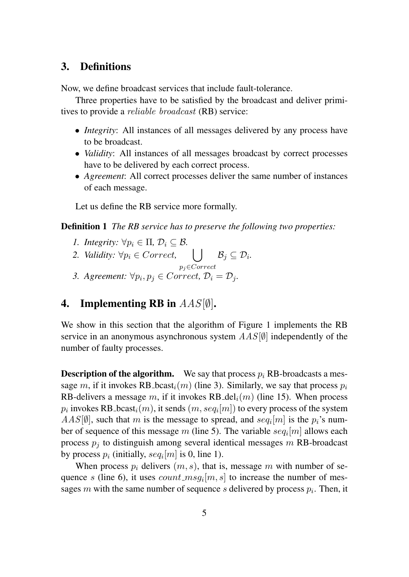## 3. Definitions

Now, we define broadcast services that include fault-tolerance.

Three properties have to be satisfied by the broadcast and deliver primitives to provide a reliable broadcast (RB) service:

- *Integrity*: All instances of all messages delivered by any process have to be broadcast.
- *Validity*: All instances of all messages broadcast by correct processes have to be delivered by each correct process.
- *Agreement*: All correct processes deliver the same number of instances of each message.

Let us define the RB service more formally.

Definition 1 *The RB service has to preserve the following two properties:*

- *1. Integrity:*  $\forall p_i \in \Pi, \mathcal{D}_i \subseteq \mathcal{B}$ .
- *2. Validity:*  $\forall p_i \in Correct, \qquad \Box$  $\mathcal{B}_j \subseteq \mathcal{D}_i$ .
- $p_j$ ∈ $Correct$ 3. *Agreement:*  $\forall p_i, p_j \in Correct, D_i = D_j$ .

## 4. Implementing RB in  $AAS[\emptyset]$ .

We show in this section that the algorithm of Figure 1 implements the RB service in an anonymous asynchronous system  $AAS[\emptyset]$  independently of the number of faulty processes.

**Description of the algorithm.** We say that process  $p_i$  RB-broadcasts a message m, if it invokes RB<sub>-</sub>bcast<sub>i</sub> $(m)$  (line 3). Similarly, we say that process  $p_i$ RB-delivers a message m, if it invokes RB<sub>-del<sub>i</sub>(m) (line 15). When process</sub>  $p_i$  invokes RB\_bcast $_i(m),$  it sends  $(m, seq_i[m])$  to every process of the system  $AAS[\emptyset]$ , such that m is the message to spread, and  $seq_i[m]$  is the  $p_i$ 's number of sequence of this message m (line 5). The variable  $seq_i[m]$  allows each process  $p_i$  to distinguish among several identical messages m RB-broadcast by process  $p_i$  (initially,  $seq_i[m]$  is 0, line 1).

When process  $p_i$  delivers  $(m, s)$ , that is, message m with number of sequence s (line 6), it uses  $count\_msg_i[m,s]$  to increase the number of messages m with the same number of sequence s delivered by process  $p_i$ . Then, it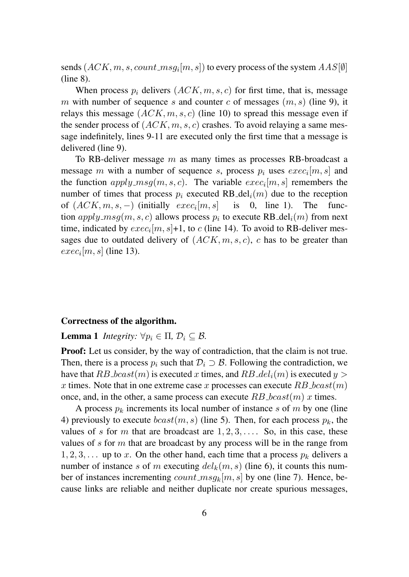sends  $(ACK, m, s, count\_msg_i[m,s])$  to every process of the system  $AAS[\emptyset]$ (line 8).

When process  $p_i$  delivers  $(ACK, m, s, c)$  for first time, that is, message m with number of sequence s and counter c of messages  $(m, s)$  (line 9), it relays this message  $(ACK, m, s, c)$  (line 10) to spread this message even if the sender process of  $(ACK, m, s, c)$  crashes. To avoid relaying a same message indefinitely, lines 9-11 are executed only the first time that a message is delivered (line 9).

To RB-deliver message  $m$  as many times as processes RB-broadcast a message m with a number of sequence s, process  $p_i$  uses  $exec_i[m, s]$  and the function  $apply_msg(m, s, c)$ . The variable  $exec_i[m, s]$  remembers the number of times that process  $p_i$  executed RB del<sub>i</sub> $(m)$  due to the reception of  $(ACK, m, s, -)$  (initially  $exec_i[m, s]$ is  $\theta$ , line 1). The function  $apply\_msg(m, s, c)$  allows process  $p_i$  to execute RB<sub>-</sub>del<sub>i</sub> $(m)$  from next time, indicated by  $exec_i[m, s]+1$ , to c (line 14). To avoid to RB-deliver messages due to outdated delivery of  $(ACK, m, s, c)$ , c has to be greater than  $exec_i[m, s]$  (line 13).

### Correctness of the algorithm.

**Lemma 1** *Integrity:*  $\forall p_i \in \Pi, \mathcal{D}_i \subseteq \mathcal{B}$ .

**Proof:** Let us consider, by the way of contradiction, that the claim is not true. Then, there is a process  $p_i$  such that  $\mathcal{D}_i \supset \mathcal{B}$ . Following the contradiction, we have that RB<sub>-</sub>bcast $(m)$  is executed x times, and RB<sub>-del<sub>i</sub> $(m)$  is executed  $y >$ </sub> x times. Note that in one extreme case x processes can execute  $RB\_beast(m)$ once, and, in the other, a same process can execute  $RB\_boxt(m)$  x times.

A process  $p_k$  increments its local number of instance s of m by one (line 4) previously to execute  $\text{bcast}(m, s)$  (line 5). Then, for each process  $p_k$ , the values of s for m that are broadcast are  $1, 2, 3, \ldots$ . So, in this case, these values of  $s$  for  $m$  that are broadcast by any process will be in the range from  $1, 2, 3, \ldots$  up to x. On the other hand, each time that a process  $p_k$  delivers a number of instance s of m executing  $del_k(m, s)$  (line 6), it counts this number of instances incrementing  $count\_msg_k[m, s]$  by one (line 7). Hence, because links are reliable and neither duplicate nor create spurious messages,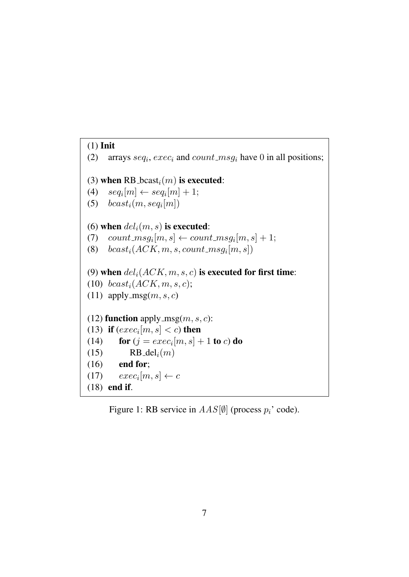```
(1) Init
(2) arrays seq_i, exec_i and count\_msg_i have 0 in all positions;
(3) when RB<sub>-bcast<sub>i</sub>(m) is executed:</sub>
(4) seq_i[m] \leftarrow seq_i[m] + 1;(5) \; beast_i(m,seq_i[m])(6) when del_i(m, s) is executed:
(7) count\_msg_i[m,s] \leftarrow count\_msg_i[m,s]+1;(8) beast_i(ACK, m, s, count\_msg_i[m, s])(9) when del_i(ACK, m, s, c) is executed for first time:
(10) beast_i(ACK, m, s, c);(11) apply_msg(m, s, c)(12) function apply \text{msg}(m, s, c):
(13) if (exec_i[m,s] < c) then
(14) for (j = exec_i[m, s] + 1 to c) do
(RB_{\text{del}_i}(m))(16) end for;
(17) exec<sub>i</sub>[m, s] \leftarrow c(18) end if.
```
Figure 1: RB service in  $AAS[\emptyset]$  (process  $p_i$ ' code).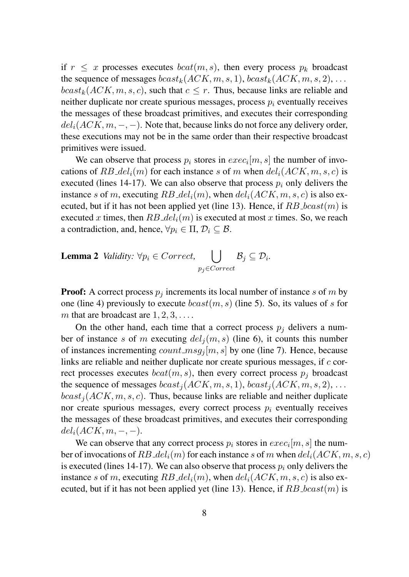if  $r \leq x$  processes executes  $bcat(m, s)$ , then every process  $p_k$  broadcast the sequence of messages  $\text{bcast}_k(ACK, m, s, 1), \text{bcast}_k(ACK, m, s, 2), \dots$  $bcast_k(ACK, m, s, c)$ , such that  $c \leq r$ . Thus, because links are reliable and neither duplicate nor create spurious messages, process  $p_i$  eventually receives the messages of these broadcast primitives, and executes their corresponding  $del_i(ACK, m, -, -)$ . Note that, because links do not force any delivery order, these executions may not be in the same order than their respective broadcast primitives were issued.

We can observe that process  $p_i$  stores in  $exec_i[m, s]$  the number of invocations of RB\_del<sub>i</sub> $(m)$  for each instance s of m when  $del_i(ACK, m, s, c)$  is executed (lines 14-17). We can also observe that process  $p_i$  only delivers the instance s of m, executing  $RB\_del_i(m)$ , when  $del_i(ACK, m, s, c)$  is also executed, but if it has not been applied yet (line 13). Hence, if  $RB\_bcast(m)$  is executed x times, then  $RB\_del_i(m)$  is executed at most x times. So, we reach a contradiction, and, hence,  $\forall p_i \in \Pi$ ,  $\mathcal{D}_i \subseteq \mathcal{B}$ .

**Lemma 2** *Validity:*  $\forall p_i \in Correct$ ,  $\qquad \qquad \bigcup$  $p_j$ ∈Correct  $\mathcal{B}_j \subseteq \mathcal{D}_i.$ 

**Proof:** A correct process  $p_i$  increments its local number of instance s of m by one (line 4) previously to execute  $bcast(m, s)$  (line 5). So, its values of s for m that are broadcast are  $1, 2, 3, \ldots$ .

On the other hand, each time that a correct process  $p_i$  delivers a number of instance s of m executing  $del<sub>j</sub> (m, s)$  (line 6), it counts this number of instances incrementing  $count\_msg_j[m, s]$  by one (line 7). Hence, because links are reliable and neither duplicate nor create spurious messages, if c correct processes executes  $beat(m, s)$ , then every correct process  $p_i$  broadcast the sequence of messages  $bcast_i (ACK, m, s, 1), bcast_i (ACK, m, s, 2), \ldots$  $bcast<sub>i</sub>(ACK, m, s, c)$ . Thus, because links are reliable and neither duplicate nor create spurious messages, every correct process  $p_i$  eventually receives the messages of these broadcast primitives, and executes their corresponding  $del_i(ACK, m, -, -).$ 

We can observe that any correct process  $p_i$  stores in  $exec_i[m, s]$  the number of invocations of RB\_del<sub>i</sub>(m) for each instance s of m when  $del_i(ACK, m, s, c)$ is executed (lines 14-17). We can also observe that process  $p_i$  only delivers the instance s of m, executing  $RB\_del_i(m)$ , when  $del_i(ACK, m, s, c)$  is also executed, but if it has not been applied yet (line 13). Hence, if  $RB\_beat(m)$  is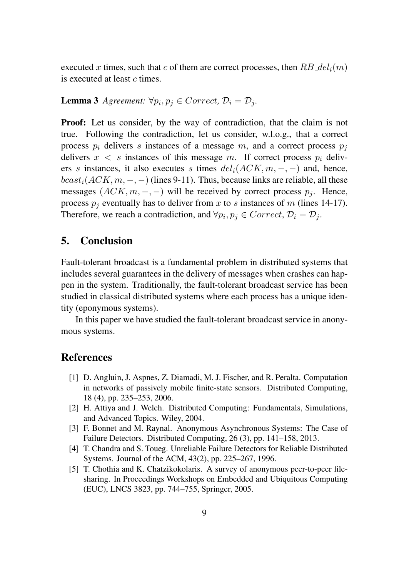executed x times, such that c of them are correct processes, then  $RB\_del_i(m)$ is executed at least c times.

## **Lemma 3** Agreement:  $\forall p_i, p_j \in Correct, D_i = D_j$ .

Proof: Let us consider, by the way of contradiction, that the claim is not true. Following the contradiction, let us consider, w.l.o.g., that a correct process  $p_i$  delivers s instances of a message m, and a correct process  $p_i$ delivers  $x < s$  instances of this message m. If correct process  $p_i$  delivers s instances, it also executes s times  $del_i(ACK, m, -, -)$  and, hence,  $bcast<sub>i</sub>(ACK, m, -, -)$  (lines 9-11). Thus, because links are reliable, all these messages  $(ACK, m, -, -)$  will be received by correct process  $p_i$ . Hence, process  $p_i$  eventually has to deliver from x to s instances of m (lines 14-17). Therefore, we reach a contradiction, and  $\forall p_i, p_j \in Correct, D_i = D_j$ .

## 5. Conclusion

Fault-tolerant broadcast is a fundamental problem in distributed systems that includes several guarantees in the delivery of messages when crashes can happen in the system. Traditionally, the fault-tolerant broadcast service has been studied in classical distributed systems where each process has a unique identity (eponymous systems).

In this paper we have studied the fault-tolerant broadcast service in anonymous systems.

## References

- [1] D. Angluin, J. Aspnes, Z. Diamadi, M. J. Fischer, and R. Peralta. Computation in networks of passively mobile finite-state sensors. Distributed Computing, 18 (4), pp. 235–253, 2006.
- [2] H. Attiya and J. Welch. Distributed Computing: Fundamentals, Simulations, and Advanced Topics. Wiley, 2004.
- [3] F. Bonnet and M. Raynal. Anonymous Asynchronous Systems: The Case of Failure Detectors. Distributed Computing, 26 (3), pp. 141–158, 2013.
- [4] T. Chandra and S. Toueg. Unreliable Failure Detectors for Reliable Distributed Systems. Journal of the ACM, 43(2), pp. 225–267, 1996.
- [5] T. Chothia and K. Chatzikokolaris. A survey of anonymous peer-to-peer filesharing. In Proceedings Workshops on Embedded and Ubiquitous Computing (EUC), LNCS 3823, pp. 744–755, Springer, 2005.